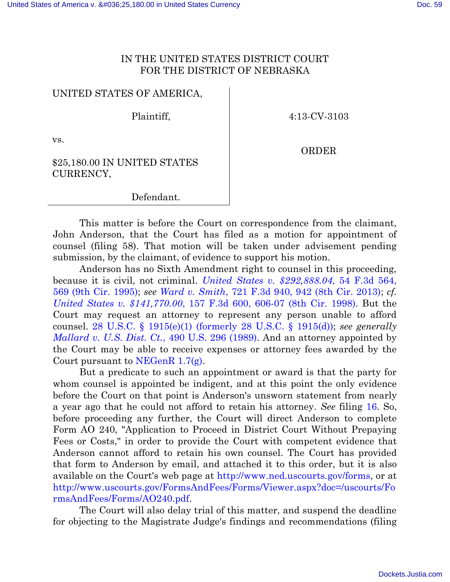## IN THE UNITED STATES DISTRICT COURT FOR THE DISTRICT OF NEBRASKA

## UNITED STATES OF AMERICA,

Plaintiff,

4:13-CV-3103

vs.

ORDER

### \$25,180.00 IN UNITED STATES CURRENCY,

### Defendant.

This matter is before the Court on correspondence from the claimant, John Anderson, that the Court has filed as a motion for appointment of counsel (filing 58). That motion will be taken under advisement pending submission, by the claimant, of evidence to support his motion.

Anderson has no Sixth Amendment right to counsel in this proceeding, because it is civil, not criminal. *[United States v. \\$292,888.04](http://scholar.google.com/scholar_case?q=54+f.3d+564&hl=en&as_sdt=3,26&case=4126842852728882101&scilh=0)*, 54 F.3d 564, [569 \(9th Cir.](http://scholar.google.com/scholar_case?q=54+f.3d+564&hl=en&as_sdt=3,26&case=4126842852728882101&scilh=0) 1995); *see Ward v. Smith*, 721 F.3d [940, 942 \(8th Cir.](http://scholar.google.com/scholar_case?q=721+f.3d+940&hl=en&as_sdt=6,26&case=15988255241350661783&scilh=0) 2013); *cf. [United States v. \\$141,770.00](http://scholar.google.com/scholar_case?q=157+f.3d+600&hl=en&as_sdt=6,26&case=5423347464982518082&scilh=0)*, 157 F.3d 600, 606-07 (8th Cir. 1998). But the Court may request an attorney to represent any person unable to afford counsel. 28 U.S.C. § [1915\(e\)\(1\) \(formerly 28 U.S.C. §](http://www.law.cornell.edu/uscode/text/28/1915) 1915(d)); *see generally [Mallard v. U.S. Dist. Ct.](http://scholar.google.com/scholar_case?q=490+US+296&hl=en&as_sdt=6,26&case=14302310542981998483&scilh=0)*, 490 U.S. 296 (1989). And an attorney appointed by the Court may be able to receive expenses or attorney fees awarded by the Court pursuant to NEGenR  $1.7(g)$ .

But a predicate to such an appointment or award is that the party for whom counsel is appointed be indigent, and at this point the only evidence before the Court on that point is Anderson's unsworn statement from nearly a year ago that he could not afford to retain his attorney. *See* filing [16.](https://ecf.ned.uscourts.gov/doc1/11312857436) So, before proceeding any further, the Court will direct Anderson to complete Form AO 240, "Application to Proceed in District Court Without Prepaying Fees or Costs," in order to provide the Court with competent evidence that Anderson cannot afford to retain his own counsel. The Court has provided that form to Anderson by email, and attached it to this order, but it is also available on the Court's web page at [http://www.ned.uscourts.gov/forms,](http://www.ned.uscourts.gov/forms) or at [http://www.uscourts.gov/FormsAndFees/Forms/Viewer.aspx?doc=/uscourts/Fo](http://www.uscourts.gov/FormsAndFees/Forms/Viewer.aspx?doc=/uscourts/FormsAndFees/Forms/AO240.pdf) [rmsAndFees/Forms/AO240.pdf.](http://www.uscourts.gov/FormsAndFees/Forms/Viewer.aspx?doc=/uscourts/FormsAndFees/Forms/AO240.pdf)

The Court will also delay trial of this matter, and suspend the deadline for objecting to the Magistrate Judge's findings and recommendations (filing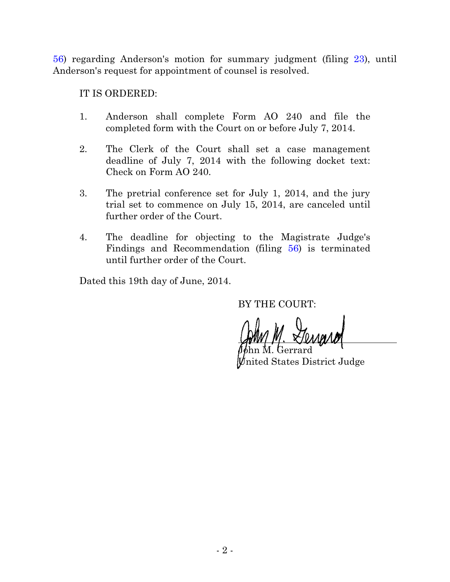[56\)](https://ecf.ned.uscourts.gov/doc1/11313044286) regarding Anderson's motion for summary judgment (filing [23\)](https://ecf.ned.uscourts.gov/doc1/11312939427), until Anderson's request for appointment of counsel is resolved.

IT IS ORDERED:

- 1. Anderson shall complete Form AO 240 and file the completed form with the Court on or before July 7, 2014.
- 2. The Clerk of the Court shall set a case management deadline of July 7, 2014 with the following docket text: Check on Form AO 240.
- 3. The pretrial conference set for July 1, 2014, and the jury trial set to commence on July 15, 2014, are canceled until further order of the Court.
- 4. The deadline for objecting to the Magistrate Judge's Findings and Recommendation (filing [56\)](https://ecf.ned.uscourts.gov/doc1/11313044286) is terminated until further order of the Court.

Dated this 19th day of June, 2014.

BY THE COURT:

 $\beta\phi$ hn M. Gerrard nited States District Judge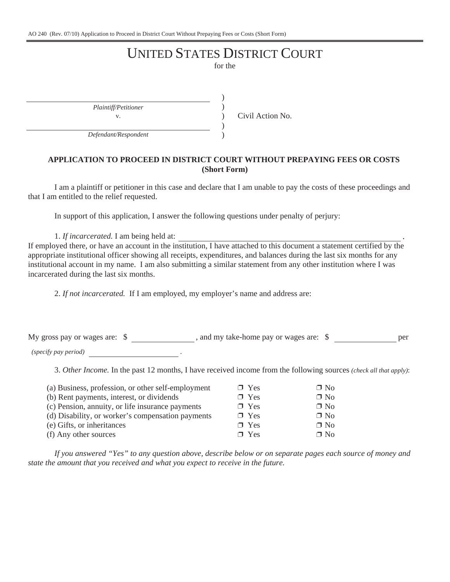AO 240 (Rev. 07/10) Application to Proceed in District Court Without Prepaying Fees or Costs (Short Form)

# UNITED STATES DISTRICT COURT

for the

) ) ) ) )

*Plaintiff/Petitioner*

v. Civil Action No.

*Defendant/Respondent*

#### **APPLICATION TO PROCEED IN DISTRICT COURT WITHOUT PREPAYING FEES OR COSTS (Short Form)**

I am a plaintiff or petitioner in this case and declare that I am unable to pay the costs of these proceedings and that I am entitled to the relief requested.

In support of this application, I answer the following questions under penalty of perjury:

1. *If incarcerated.* I am being held at: .

If employed there, or have an account in the institution, I have attached to this document a statement certified by the appropriate institutional officer showing all receipts, expenditures, and balances during the last six months for any institutional account in my name. I am also submitting a similar statement from any other institution where I was incarcerated during the last six months.

2. *If not incarcerated.* If I am employed, my employer's name and address are:

My gross pay or wages are:  $\frac{1}{2}$ , and my take-home pay or wages are:  $\frac{1}{2}$  per

*(specify pay period)* .

3. *Other Income.* In the past 12 months, I have received income from the following sources *(check all that apply)*:

| (a) Business, profession, or other self-employment | $\Box$ Yes | $\Box$ No |
|----------------------------------------------------|------------|-----------|
| (b) Rent payments, interest, or dividends          | $\Box$ Yes | $\Box$ No |
| (c) Pension, annuity, or life insurance payments   | $\Box$ Yes | $\Box$ No |
| (d) Disability, or worker's compensation payments  | $\Box$ Yes | $\Box$ No |
| (e) Gifts, or inheritances                         | $\Box$ Yes | $\Box$ No |
| (f) Any other sources                              | $\Box$ Yes | $\Box$ No |

*If you answered "Yes" to any question above, describe below or on separate pages each source of money and state the amount that you received and what you expect to receive in the future.*